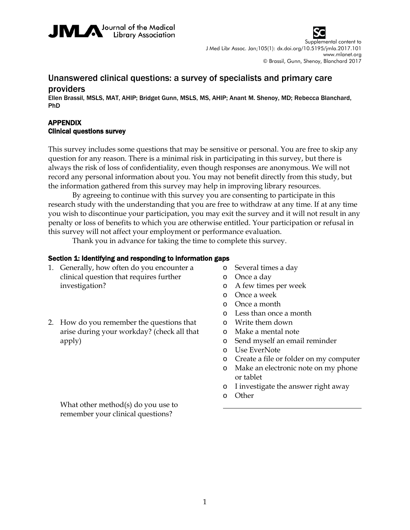



Supplemental content to J Med Libr Assoc. Jan;105(1): dx.doi.org/10.5195/jmla.2017.101 www.mlanet.org © Brassil, Gunn, Shenoy, Blanchard 2017

# Unanswered clinical questions: a survey of specialists and primary care providers

Ellen Brassil, MSLS, MAT, AHIP; Bridget Gunn, MSLS, MS, AHIP; Anant M. Shenoy, MD; Rebecca Blanchard, PhD

### APPENDIX Clinical questions survey

This survey includes some questions that may be sensitive or personal. You are free to skip any question for any reason. There is a minimal risk in participating in this survey, but there is always the risk of loss of confidentiality, even though responses are anonymous. We will not record any personal information about you. You may not benefit directly from this study, but the information gathered from this survey may help in improving library resources.

By agreeing to continue with this survey you are consenting to participate in this research study with the understanding that you are free to withdraw at any time. If at any time you wish to discontinue your participation, you may exit the survey and it will not result in any penalty or loss of benefits to which you are otherwise entitled. Your participation or refusal in this survey will not affect your employment or performance evaluation.

Thank you in advance for taking the time to complete this survey.

#### Section 1: Identifying and responding to information gaps

- 1. Generally, how often do you encounter a clinical question that requires further investigation?
- 2. How do you remember the questions that arise during your workday? (check all that apply)
- o Several times a day
- o Once a day
- o A few times per week
- o Once a week
- o Once a month
- o Less than once a month
- o Write them down
- o Make a mental note
- o Send myself an email reminder
- o Use EverNote
- o Create a file or folder on my computer
- o Make an electronic note on my phone or tablet
- o I investigate the answer right away
- o Other

What other method(s) do you use to remember your clinical questions?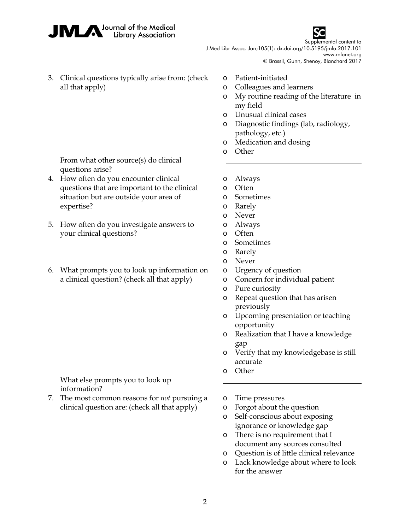



Supplemental content to J Med Libr Assoc. Jan;105(1): dx.doi.org/10.5195/jmla.2017.101

www.mlanet.org

- © Brassil, Gunn, Shenoy, Blanchard 2017
- 3. Clinical questions typically arise from: (check all that apply)
- o Patient-initiated
- o Colleagues and learners
- o My routine reading of the literature in my field
- o Unusual clinical cases
- o Diagnostic findings (lab, radiology, pathology, etc.)
- o Medication and dosing
- o Other

From what other source(s) do clinical questions arise?

- 4. How often do you encounter clinical questions that are important to the clinical situation but are outside your area of expertise?
- 5. How often do you investigate answers to your clinical questions?
- 6. What prompts you to look up information on a clinical question? (check all that apply)

- What else prompts you to look up information?
- 7. The most common reasons for *not* pursuing a clinical question are: (check all that apply)

- o Always
- o Often
- o Sometimes
- o Rarely
- o Never
- o Always
- o Often
- o Sometimes
- o Rarely
- o Never
- o Urgency of question
- o Concern for individual patient
- o Pure curiosity
- o Repeat question that has arisen previously
- o Upcoming presentation or teaching opportunity
- o Realization that I have a knowledge gap
- o Verify that my knowledgebase is still accurate
- o Other
- o Time pressures
- o Forgot about the question
- o Self-conscious about exposing ignorance or knowledge gap
- o There is no requirement that I document any sources consulted
- o Question is of little clinical relevance
- o Lack knowledge about where to look for the answer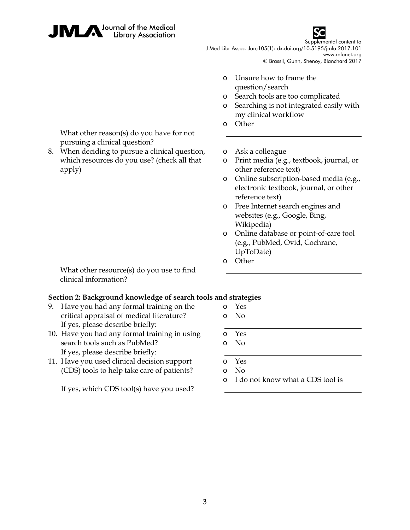



Supplemental content to J Med Libr Assoc. Jan;105(1): dx.doi.org/10.5195/jmla.2017.101

> www.mlanet.org © Brassil, Gunn, Shenoy, Blanchard 2017

- o Unsure how to frame the question/search
- o Search tools are too complicated
- o Searching is not integrated easily with my clinical workflow
- o Other

What other reason(s) do you have for not pursuing a clinical question?

8. When deciding to pursue a clinical question, which resources do you use? (check all that apply)

o Ask a colleague

- o Print media (e.g., textbook, journal, or other reference text)
- o Online subscription-based media (e.g., electronic textbook, journal, or other reference text)
- o Free Internet search engines and websites (e.g., Google, Bing, Wikipedia)
- o Online database or point-of-care tool (e.g., PubMed, Ovid, Cochrane, UpToDate)
- o Other

What other resource(s) do you use to find clinical information?

## **Section 2: Background knowledge of search tools and strategies**

- 9. Have you had any formal training on the critical appraisal of medical literature? If yes, please describe briefly:
- 10. Have you had any formal training in using search tools such as PubMed? If yes, please describe briefly:
- 11. Have you used clinical decision support (CDS) tools to help take care of patients?

If yes, which CDS tool(s) have you used?

- o Yes o No
- 
- o Yes o No
- 
- o Yes
- o No
- o I do not know what a CDS tool is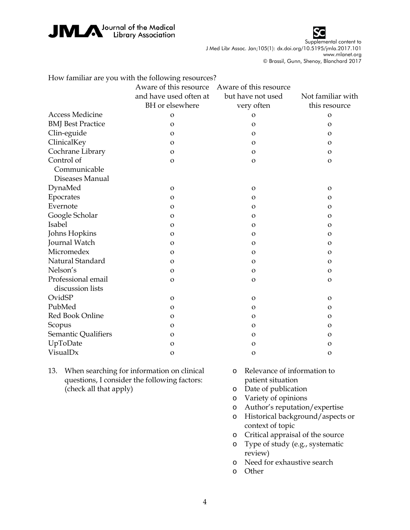



Supplemental content to J Med Libr Assoc. Jan;105(1): dx.doi.org/10.5195/jmla.2017.101 www.mlanet.org

© Brassil, Gunn, Shenoy, Blanchard 2017

|                                        | How familiar are you with the following resources? |                        |                   |
|----------------------------------------|----------------------------------------------------|------------------------|-------------------|
|                                        | Aware of this resource                             | Aware of this resource |                   |
|                                        | and have used often at                             | but have not used      | Not familiar with |
|                                        | BH or elsewhere                                    | very often             | this resource     |
| <b>Access Medicine</b>                 | O                                                  | $\Omega$               | $\Omega$          |
| <b>BMJ</b> Best Practice               | $\mathbf O$                                        | $\mathbf{O}$           | $\Omega$          |
| Clin-eguide                            | O                                                  | $\Omega$               | $\Omega$          |
| ClinicalKey                            | O                                                  | $\mathbf{O}$           | $\mathbf{O}$      |
| Cochrane Library                       | $\Omega$                                           | $\mathbf{O}$           | $\Omega$          |
| Control of                             | $\mathbf{O}$                                       | $\mathbf{o}$           | $\mathbf O$       |
| Communicable                           |                                                    |                        |                   |
| Diseases Manual                        |                                                    |                        |                   |
| DynaMed                                | $\Omega$                                           | $\mathbf{O}$           | $\Omega$          |
| Epocrates                              | O                                                  | $\mathbf{O}$           | $\mathbf{O}$      |
| Evernote                               | $\Omega$                                           | $\Omega$               | $\Omega$          |
| Google Scholar                         | $\mathbf O$                                        | $\mathbf{O}$           | $\mathbf{O}$      |
| Isabel                                 | $\Omega$                                           | $\Omega$               | $\Omega$          |
| Johns Hopkins                          | $\mathbf{O}$                                       | $\mathbf{O}$           | $\mathbf{O}$      |
| Journal Watch                          | $\Omega$                                           | $\Omega$               | $\Omega$          |
| Micromedex                             | $\mathbf O$                                        | $\mathbf{O}$           | $\mathbf{O}$      |
| Natural Standard                       | $\Omega$                                           | $\Omega$               | $\Omega$          |
| Nelson's                               | 0                                                  | $\mathbf{O}$           | O                 |
| Professional email<br>discussion lists | $\Omega$                                           | $\Omega$               | $\Omega$          |
| OvidSP                                 | $\mathbf{O}$                                       | $\mathbf{O}$           | $\mathbf{O}$      |
| PubMed                                 | O                                                  | $\mathbf{O}$           | O                 |
| Red Book Online                        | $\Omega$                                           | $\Omega$               | $\Omega$          |
| Scopus                                 | O                                                  | $\mathbf{O}$           | $\mathbf{O}$      |
| Semantic Qualifiers                    | $\Omega$                                           | $\Omega$               | $\Omega$          |
| UpToDate                               | O                                                  | O                      | 0                 |
| VisualDx                               | O                                                  | $\mathbf{O}$           | $\mathbf O$       |

- 13. When searching for information on clinical questions, I consider the following factors: (check all that apply)
- o Relevance of information to patient situation
- o Date of publication
- o Variety of opinions
- o Author's reputation/expertise
- o Historical background/aspects or context of topic
- o Critical appraisal of the source
- o Type of study (e.g., systematic review)
- o Need for exhaustive search
- o Other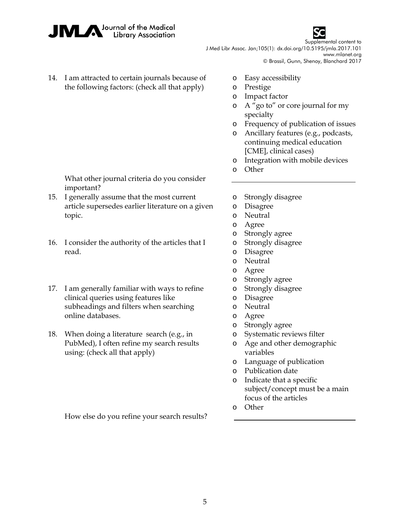



Supplemental content to J Med Libr Assoc. Jan;105(1): dx.doi.org/10.5195/jmla.2017.101 www.mlanet.org

© Brassil, Gunn, Shenoy, Blanchard 2017

- 14. I am attracted to certain journals because of the following factors: (check all that apply)
- o Easy accessibility
- o Prestige
- o Impact factor
- o A "go to" or core journal for my specialty
- o Frequency of publication of issues
- o Ancillary features (e.g., podcasts, continuing medical education [CME], clinical cases)
- o Integration with mobile devices
- o Other

What other journal criteria do you consider important?

- 15. I generally assume that the most current article supersedes earlier literature on a given topic.
- 16. I consider the authority of the articles that I read.
- 17. I am generally familiar with ways to refine clinical queries using features like subheadings and filters when searching online databases.
- 18. When doing a literature search (e.g., in PubMed), I often refine my search results using: (check all that apply)

How else do you refine your search results?

- o Strongly disagree
- o Disagree
- o Neutral
- o Agree
- o Strongly agree
- o Strongly disagree
- o Disagree
- o Neutral
- o Agree
- o Strongly agree
- o Strongly disagree
- o Disagree
- o Neutral
- o Agree
- o Strongly agree
- o Systematic reviews filter
- o Age and other demographic variables
- o Language of publication
- o Publication date
- o Indicate that a specific subject/concept must be a main focus of the articles
- o Other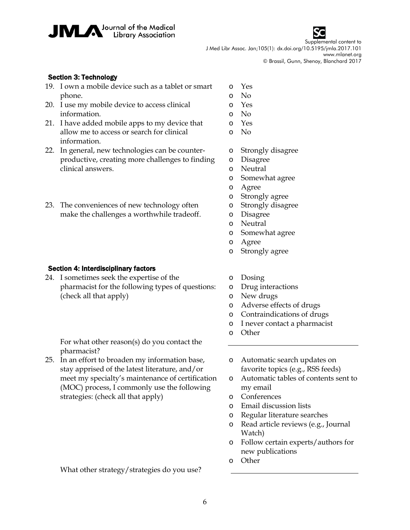

Supplemental content to J Med Libr Assoc. Jan;105(1): dx.doi.org/10.5195/jmla.2017.101 www.mlanet.org © Brassil, Gunn, Shenoy, Blanchard 2017

#### Section 3: Technology

- 19. I own a mobile device such as a tablet or smart phone.
- 20. I use my mobile device to access clinical information.
- 21. I have added mobile apps to my device that allow me to access or search for clinical information.
- 22. In general, new technologies can be counterproductive, creating more challenges to finding clinical answers.
- 23. The conveniences of new technology often make the challenges a worthwhile tradeoff.

#### Section 4: Interdisciplinary factors

24. I sometimes seek the expertise of the pharmacist for the following types of questions: (check all that apply)

o Yes o No

- o Yes
- o No
- o Yes
- o No
- o Strongly disagree
- o Disagree
- o Neutral
- o Somewhat agree
- o Agree
- o Strongly agree
- o Strongly disagree
- o Disagree
- o Neutral
- o Somewhat agree
- o Agree
- o Strongly agree
- o Dosing
- o Drug interactions
- o New drugs
- o Adverse effects of drugs
- o Contraindications of drugs
- o I never contact a pharmacist
- o Other

For what other reason(s) do you contact the pharmacist?

- 25. In an effort to broaden my information base, stay apprised of the latest literature, and/or meet my specialty's maintenance of certification (MOC) process, I commonly use the following strategies: (check all that apply)
- o Automatic search updates on favorite topics (e.g., RSS feeds)
- o Automatic tables of contents sent to my email
- o Conferences
- o Email discussion lists
- o Regular literature searches
- o Read article reviews (e.g., Journal Watch)
- o Follow certain experts/authors for new publications
- o Other

What other strategy/strategies do you use?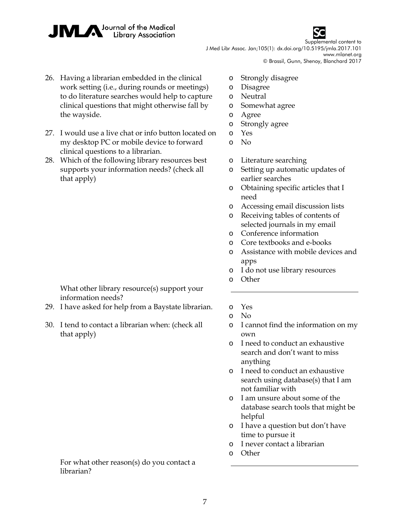



Supplemental content to J Med Libr Assoc. Jan;105(1): dx.doi.org/10.5195/jmla.2017.101 www.mlanet.org

© Brassil, Gunn, Shenoy, Blanchard 2017

- 26. Having a librarian embedded in the clinical work setting (i.e., during rounds or meetings) to do literature searches would help to capture clinical questions that might otherwise fall by the wayside.
- 27. I would use a live chat or info button located on my desktop PC or mobile device to forward clinical questions to a librarian.
- 28. Which of the following library resources best supports your information needs? (check all that apply)

- What other library resource(s) support your information needs?
- 29. I have asked for help from a Baystate librarian. o Yes
- 30. I tend to contact a librarian when: (check all that apply)

For what other reason(s) do you contact a librarian?

- o Strongly disagree
- o Disagree
- o Neutral
- o Somewhat agree
- o Agree
- o Strongly agree
- o Yes
- o No
- o Literature searching
- o Setting up automatic updates of earlier searches
- o Obtaining specific articles that I need
- o Accessing email discussion lists
- o Receiving tables of contents of selected journals in my email
- o Conference information
- o Core textbooks and e-books
- o Assistance with mobile devices and apps
- o I do not use library resources
- o Other
- 

- o I cannot find the information on my own
- o I need to conduct an exhaustive search and don't want to miss anything
- o I need to conduct an exhaustive search using database(s) that I am not familiar with
- o I am unsure about some of the database search tools that might be helpful
- o I have a question but don't have time to pursue it
- o I never contact a librarian
- o Other

o No